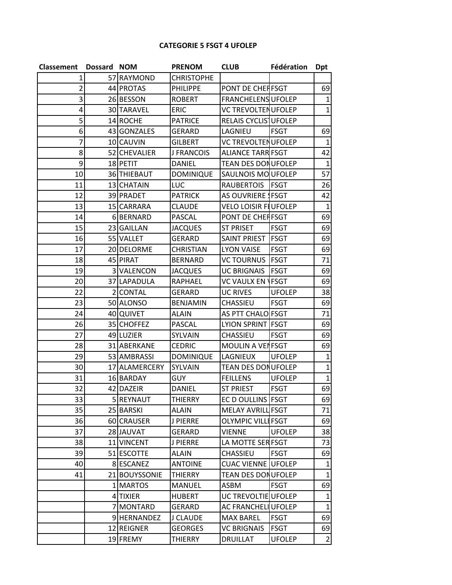## **CATEGORIE 5 FSGT 4 UFOLEP**

| Classement Dossard NOM |                   | <b>PRENOM</b>     | <b>CLUB</b>                 | Fédération    | <b>Dpt</b>   |
|------------------------|-------------------|-------------------|-----------------------------|---------------|--------------|
| 1                      | 57 RAYMOND        | <b>CHRISTOPHE</b> |                             |               |              |
| $\overline{2}$         | 44 PROTAS         | <b>PHILIPPE</b>   | PONT DE CHEFFSGT            |               | 69           |
| 3                      | 26 BESSON         | <b>ROBERT</b>     | <b>FRANCHELENS UFOLEP</b>   |               | $\mathbf{1}$ |
| 4                      | <b>30 TARAVEL</b> | <b>ERIC</b>       | <b>VC TREVOLTEN UFOLEP</b>  |               | $\mathbf{1}$ |
| 5                      | 14 ROCHE          | <b>PATRICE</b>    | RELAIS CYCLIS UFOLEP        |               |              |
| 6                      | 43 GONZALES       | <b>GERARD</b>     | LAGNIEU                     | <b>FSGT</b>   | 69           |
| 7                      | 10 CAUVIN         | <b>GILBERT</b>    | <b>VC TREVOLTEN UFOLEP</b>  |               | $\mathbf{1}$ |
| 8                      | 52 CHEVALIER      | J FRANCOIS        | <b>ALIANCE TARR FSGT</b>    |               | 42           |
| $\mathsf{g}$           | 18 PETIT          | <b>DANIEL</b>     | <b>TEAN DES DONUFOLEP</b>   |               | $\mathbf{1}$ |
| 10 <sup>1</sup>        | 36 THIEBAUT       | <b>DOMINIQUE</b>  | SAULNOIS MOUFOLEP           |               | 57           |
| 11                     | 13 CHATAIN        | LUC               | RAUBERTOIS   FSGT           |               | 26           |
| 12                     | 39 PRADET         | <b>PATRICK</b>    | AS OUVRIERE ! FSGT          |               | 42           |
| 13                     | 15 CARRARA        | <b>CLAUDE</b>     | <b>VELO LOISIR FLUFOLEP</b> |               | $\mathbf{1}$ |
| 14                     | 6BERNARD          | PASCAL            | PONT DE CHEFFSGT            |               | 69           |
| 15                     | 23 GAILLAN        | <b>JACQUES</b>    | <b>ST PRISET</b>            | <b>FSGT</b>   | 69           |
| 16                     | 55 VALLET         | <b>GERARD</b>     | SAINT PRIEST                | <b>FSGT</b>   | 69           |
| 17                     | 20 DELORME        | <b>CHRISTIAN</b>  | <b>LYON VAISE</b>           | <b>FSGT</b>   | 69           |
| 18                     | 45 PIRAT          | <b>BERNARD</b>    | <b>VC TOURNUS   FSGT</b>    |               | 71           |
| 19                     | 3 VALENCON        | <b>JACQUES</b>    | <b>UC BRIGNAIS</b>          | <b>FSGT</b>   | 69           |
| 20                     | 37 LAPADULA       | RAPHAEL           | <b>VC VAULX EN</b>          | <b>FSGT</b>   | 69           |
| 22                     | 2 CONTAL          | <b>GERARD</b>     | <b>UC RIVES</b>             | <b>UFOLEP</b> | 38           |
| 23                     | 50 ALONSO         | <b>BENJAMIN</b>   | CHASSIEU                    | <b>FSGT</b>   | 69           |
| 24                     | 40 QUIVET         | <b>ALAIN</b>      | AS PTT CHALO FSGT           |               | 71           |
| 26                     | 35 CHOFFEZ        | PASCAL            | LYION SPRINT FSGT           |               | 69           |
| 27                     | 49 LUZIER         | SYLVAIN           | CHASSIEU                    | <b>FSGT</b>   | 69           |
| 28                     | 31 ABERKANE       | <b>CEDRIC</b>     | MOULIN A VENFSGT            |               | 69           |
| 29                     | 53 AMBRASSI       | <b>DOMINIQUE</b>  | LAGNIEUX                    | <b>UFOLEP</b> | $\mathbf{1}$ |
| 30                     | 17 ALAMERCERY     | SYLVAIN           | <b>TEAN DES DONUFOLEP</b>   |               | $\mathbf{1}$ |
| 31                     | 16 BARDAY         | <b>GUY</b>        | <b>FEILLENS</b>             | <b>UFOLEP</b> | $\mathbf{1}$ |
| 32                     | 42 DAZEIR         | <b>DANIEL</b>     | <b>ST PRIEST</b>            | <b>FSGT</b>   | 69           |
| 33                     | 5 REYNAUT         | <b>THIERRY</b>    | EC D OULLINS FSGT           |               | 69           |
| 35                     | 25 BARSKI         | <b>ALAIN</b>      | MELAY AVRILL FSGT           |               | 71           |
| 36                     | 60 CRAUSER        | J PIERRE          | <b>OLYMPIC VILLI FSGT</b>   |               | 69           |
| 37                     | 28 JAUVAT         | <b>GERARD</b>     | <b>VIENNE</b>               | <b>UFOLEP</b> | 38           |
| 38                     | 11 VINCENT        | J PIERRE          | LA MOTTE SER FSGT           |               | 73           |
| 39                     | 51 ESCOTTE        | <b>ALAIN</b>      | <b>CHASSIEU</b>             | <b>FSGT</b>   | 69           |
| 40                     | 8 ESCANEZ         | <b>ANTOINE</b>    | <b>CUAC VIENNE UFOLEP</b>   |               | $\mathbf{1}$ |
| 41                     | 21 BOUYSSONIE     | THIERRY           | <b>TEAN DES DONUFOLEP</b>   |               | $\mathbf{1}$ |
|                        | 1 MARTOS          | <b>MANUEL</b>     | ASBM                        | <b>FSGT</b>   | 69           |
|                        | 4 TIXIER          | <b>HUBERT</b>     | UC TREVOLTIE UFOLEP         |               | $\mathbf{1}$ |
|                        | 7 MONTARD         | GERARD            | AC FRANCHELL UFOLEP         |               | $\mathbf{1}$ |
|                        | 9 HERNANDEZ       | J CLAUDE          | <b>MAX BAREL</b>            | <b>FSGT</b>   | 69           |
|                        | 12 REIGNER        | <b>GEORGES</b>    | <b>VC BRIGNAIS</b>          | <b>FSGT</b>   | 69           |
|                        | 19 FREMY          | <b>THIERRY</b>    | <b>DRUILLAT</b>             | <b>UFOLEP</b> | 2            |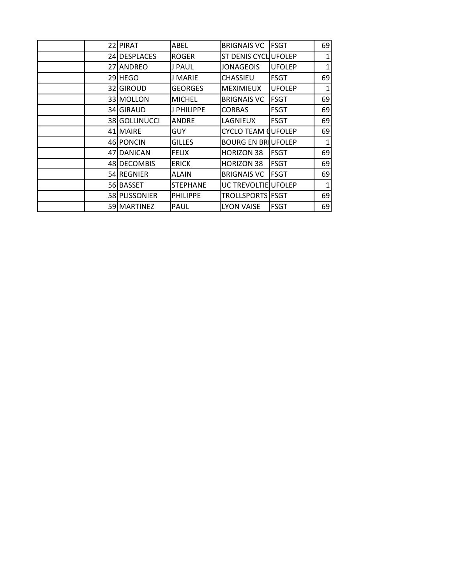| 22 PIRAT      | ABEL            | <b>BRIGNAIS VC</b>        | <b>IFSGT</b>  | 69           |
|---------------|-----------------|---------------------------|---------------|--------------|
| 24 DESPLACES  | <b>ROGER</b>    | ST DENIS CYCL UFOLEP      |               | $\mathbf{1}$ |
| 27 ANDREO     | J PAUL          | <b>JONAGEOIS</b>          | <b>UFOLEP</b> | 1            |
| 29 HEGO       | J MARIE         | <b>CHASSIEU</b>           | <b>FSGT</b>   | 69           |
| 32 GIROUD     | <b>GEORGES</b>  | <b>MEXIMIEUX</b>          | <b>UFOLEP</b> | 1            |
| 33 MOLLON     | <b>MICHEL</b>   | <b>BRIGNAIS VC</b>        | IFSGT         | 69           |
| 34 GIRAUD     | J PHILIPPE      | <b>CORBAS</b>             | <b>FSGT</b>   | 69           |
| 38 GOLLINUCCI | ANDRE           | LAGNIEUX                  | <b>FSGT</b>   | 69           |
| 41 MAIRE      | <b>GUY</b>      | <b>CYCLO TEAM EUFOLEP</b> |               | 69           |
| 46 PONCIN     | <b>GILLES</b>   | <b>BOURG EN BRIUFOLEP</b> |               | 1            |
| 47 DANICAN    | <b>FELIX</b>    | <b>HORIZON 38</b>         | <b>FSGT</b>   | 69           |
| 48 DECOMBIS   | <b>ERICK</b>    | <b>HORIZON 38</b>         | <b>FSGT</b>   | 69           |
| 54 REGNIER    | <b>ALAIN</b>    | <b>BRIGNAIS VC</b>        | <b>FSGT</b>   | 69           |
| 56 BASSET     | <b>STEPHANE</b> | UC TREVOLTIE UFOLEP       |               | 1            |
| 58 PLISSONIER | <b>PHILIPPE</b> | TROLLSPORTS FSGT          |               | 69           |
| 59 MARTINEZ   | PAUL            | <b>LYON VAISE</b>         | <b>FSGT</b>   | 69           |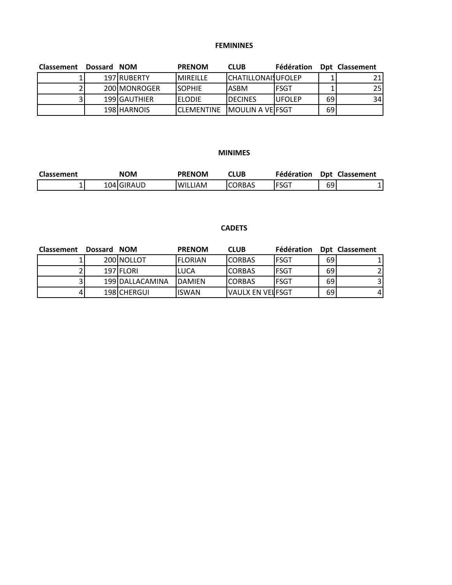# **FEMININES**

| <b>Classement</b> | Dossard NOM |              | <b>PRENOM</b>      | <b>CLUB</b>                | <b>Fédération</b> |    | Dpt Classement |
|-------------------|-------------|--------------|--------------------|----------------------------|-------------------|----|----------------|
|                   |             | 197 RUBERTY  | <b>MIREILLE</b>    | <b>CHATILLONAIS UFOLEP</b> |                   |    | 21             |
|                   |             | 200 MONROGER | <b>SOPHIE</b>      | IASBM                      | IFSGT             |    | 25             |
| 31                |             | 199 GAUTHIER | <b>ELODIE</b>      | <b>IDECINES</b>            | <b>IUFOLEP</b>    | 69 | 34             |
|                   |             | 198 HARNOIS  | <b>ICLEMENTINE</b> | <b>IMOULIN A VEIFSGT</b>   |                   | 69 |                |

## **MINIMES**

| Classement | <b>NOM</b> | <b>PRENOM</b>       | CLUB          | Fédération  | <b>Dpt</b> | <b>Classement</b> |
|------------|------------|---------------------|---------------|-------------|------------|-------------------|
|            | 104 GIRAUD | .IAM<br><b>WILL</b> | <b>CORBAS</b> | <b>FSGT</b> | 69         |                   |

# **CADETS**

| <b>Classement</b> | Dossard NOM |                 | <b>PRENOM</b>   | <b>CLUB</b>        | Fédération   |    | Dpt Classement |
|-------------------|-------------|-----------------|-----------------|--------------------|--------------|----|----------------|
|                   |             | 200 NOLLOT      | <b>IFLORIAN</b> | ICORBAS            | IFSGT        | 69 |                |
|                   |             | 197 FLORI       | ILUCA           | <b>CORBAS</b>      | <b>IFSGT</b> | 69 |                |
|                   |             | 199 DALLACAMINA | <b>IDAMIFN</b>  | ICORBAS            | IFSGT        | 69 |                |
|                   |             | 198 CHERGUI     | liswan          | IVAULX EN VEIIFSGT |              | 69 |                |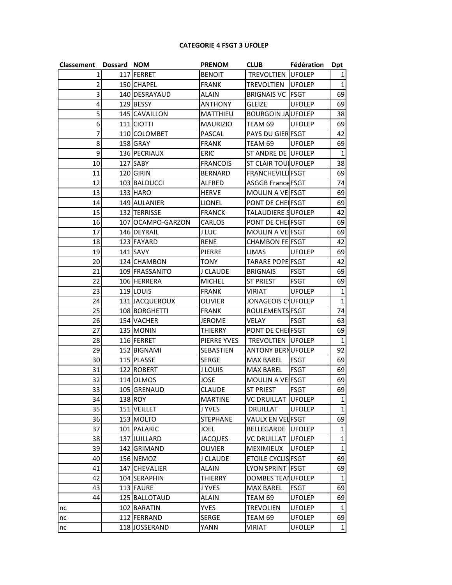#### **CATEGORIE 4 FSGT 3 UFOLEP**

| Classement Dossard NOM |                   | <b>PRENOM</b>   | <b>CLUB</b>                | <b>Fédération</b> | <b>Dpt</b>   |
|------------------------|-------------------|-----------------|----------------------------|-------------------|--------------|
| 1                      | 117 FERRET        | <b>BENOIT</b>   | <b>TREVOLTIEN UFOLEP</b>   |                   | 1            |
| 2                      | 150 CHAPEL        | <b>FRANK</b>    | <b>TREVOLTIEN</b>          | <b>UFOLEP</b>     | $1\vert$     |
| 3                      | 140 DESRAYAUD     | <b>ALAIN</b>    | <b>BRIGNAIS VC FSGT</b>    |                   | 69           |
| 4                      | 129 BESSY         | <b>ANTHONY</b>  | <b>GLEIZE</b>              | <b>UFOLEP</b>     | 69           |
| 5                      | 145 CAVAILLON     | MATTHIEU        | <b>BOURGOIN JA UFOLEP</b>  |                   | 38           |
| 6                      | 111 CIOTTI        | <b>MAURIZIO</b> | TEAM 69                    | <b>UFOLEP</b>     | 69           |
| 7                      | 110 COLOMBET      | PASCAL          | PAYS DU GIER FSGT          |                   | 42           |
| 8                      | 158 GRAY          | <b>FRANK</b>    | TEAM 69                    | <b>UFOLEP</b>     | 69           |
| 9                      | 136 PECRIAUX      | <b>ERIC</b>     | ST ANDRE DE UFOLEP         |                   | $\mathbf{1}$ |
| 10                     | 127 SABY          | <b>FRANCOIS</b> | <b>ST CLAIR TOULUFOLEP</b> |                   | 38           |
| 11                     | 120 GIRIN         | <b>BERNARD</b>  | <b>FRANCHEVILLIFSGT</b>    |                   | 69           |
| 12                     | 103 BALDUCCI      | <b>ALFRED</b>   | <b>ASGGB France FSGT</b>   |                   | 74           |
| 13                     | 133 HARO          | <b>HERVE</b>    | MOULIN A VE FSGT           |                   | 69           |
| 14                     | 149 AULANIER      | <b>LIONEL</b>   | PONT DE CHEIFSGT           |                   | 69           |
| 15                     | 132 TERRISSE      | <b>FRANCK</b>   | TALAUDIERE SUFOLEP         |                   | 42           |
| 16                     | 107 OCAMPO-GARZON | CARLOS          | PONT DE CHEIFSGT           |                   | 69           |
| 17                     | 146 DEYRAIL       | <b>J LUC</b>    | MOULIN A VE FSGT           |                   | 69           |
| 18                     | 123 FAYARD        | <b>RENE</b>     | <b>CHAMBON FE FSGT</b>     |                   | 42           |
| 19                     | 141 SAVY          | <b>PIERRE</b>   | <b>LIMAS</b>               | <b>UFOLEP</b>     | 69           |
| 20                     | 124 CHAMBON       | TONY            | <b>TARARE POPE FSGT</b>    |                   | 42           |
| 21                     | 109 FRASSANITO    | J CLAUDE        | <b>BRIGNAIS</b>            | <b>FSGT</b>       | 69           |
| 22                     | 106 HERRERA       | <b>MICHEL</b>   | <b>ST PRIEST</b>           | <b>FSGT</b>       | 69           |
| 23                     | 119 LOUIS         | <b>FRANK</b>    | <b>VIRIAT</b>              | <b>UFOLEP</b>     | $\mathbf{1}$ |
| 24                     | 131 JACQUEROUX    | OLIVIER         | JONAGEOIS CUFOLEP          |                   | $\mathbf 1$  |
| 25                     | 108 BORGHETTI     | <b>FRANK</b>    | ROULEMENTS FSGT            |                   | 74           |
| 26                     | 154 VACHER        | JEROME          | VELAY                      | <b>FSGT</b>       | 63           |
| 27                     | 135 MONIN         | <b>THIERRY</b>  | PONT DE CHEIFSGT           |                   | 69           |
| 28                     | 116 FERRET        | PIERRE YVES     | <b>TREVOLTIEN UFOLEP</b>   |                   | 1            |
| 29                     | 152 BIGNAMI       | SEBASTIEN       | <b>ANTONY BERNUFOLEP</b>   |                   | 92           |
| 30                     | 115 PLASSE        | <b>SERGE</b>    | <b>MAX BAREL</b>           | <b>FSGT</b>       | 69           |
| 31                     | 122 ROBERT        | <b>J LOUIS</b>  | <b>MAX BAREL</b>           | <b>FSGT</b>       | 69           |
| 32                     | 114 OLMOS         | <b>JOSE</b>     | MOULIN A VE FSGT           |                   | 69           |
| 33                     | 105 GRENAUD       | <b>CLAUDE</b>   | <b>ST PRIEST</b>           | <b>FSGT</b>       | 69           |
| 34                     | 138 ROY           | <b>MARTINE</b>  | <b>VC DRUILLAT UFOLEP</b>  |                   | 1            |
| 35                     | 151 VEILLET       | J YVES          | DRUILLAT                   | <b>UFOLEP</b>     | $\mathbf{1}$ |
| 36                     | 153 MOLTO         | <b>STEPHANE</b> | VAULX EN VEL FSGT          |                   | 69           |
| 37                     | 101 PALARIC       | JOEL            | <b>BELLEGARDE UFOLEP</b>   |                   | 1            |
| 38                     | 137 JUILLARD      | <b>JACQUES</b>  | VC DRUILLAT                | <b>UFOLEP</b>     | 1            |
| 39                     | 142 GRIMAND       | <b>OLIVIER</b>  | MEXIMIEUX                  | <b>UFOLEP</b>     | 1            |
| 40                     | 156 NEMOZ         | J CLAUDE        | ETOILE CYCLIS FSGT         |                   | 69           |
| 41                     | 147 CHEVALIER     | ALAIN           | LYON SPRINT FSGT           |                   | 69           |
| 42                     | 104 SERAPHIN      | THIERRY         | DOMBES TEANUFOLEP          |                   | 1            |
| 43                     | 113 FAURE         | J YVES          | <b>MAX BAREL</b>           | FSGT              | 69           |
| 44                     | 125 BALLOTAUD     | ALAIN           | TEAM 69                    | <b>UFOLEP</b>     | 69           |
| nc                     | 102 BARATIN       | <b>YVES</b>     | <b>TREVOLIEN</b>           | <b>UFOLEP</b>     | 1            |
| nc                     | 112 FERRAND       | <b>SERGE</b>    | TEAM 69                    | <b>UFOLEP</b>     | 69           |
| nc                     | 118 JOSSERAND     | YANN            | VIRIAT                     | <b>UFOLEP</b>     | 1            |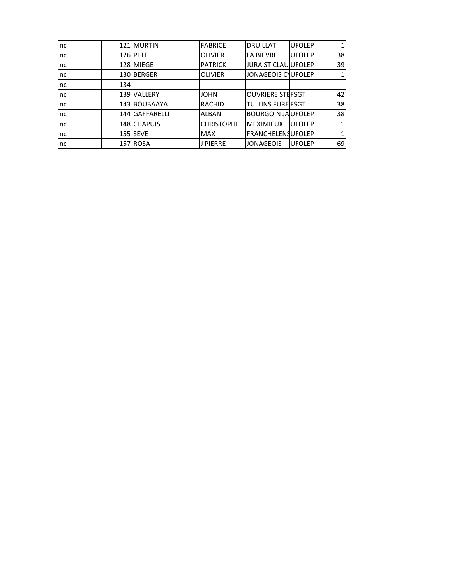| nc |     | 121 MURTIN     | <b>FABRICE</b>    | <b>DRUILLAT</b>            | <b>UFOLEP</b> |    |
|----|-----|----------------|-------------------|----------------------------|---------------|----|
| nc |     | 126 PETE       | <b>OLIVIER</b>    | <b>LA BIEVRE</b>           | <b>UFOLEP</b> | 38 |
| nc |     | 128 MIEGE      | <b>PATRICK</b>    | <b>JURA ST CLAU UFOLEP</b> |               | 39 |
| nc |     | 130 BERGER     | <b>OLIVIER</b>    | JONAGEOIS CUFOLEP          |               |    |
| nc | 134 |                |                   |                            |               |    |
| nc |     | 139 VALLERY    | <b>JOHN</b>       | <b>OUVRIERE STEFSGT</b>    |               | 42 |
| nc |     | 143 BOUBAAYA   | <b>RACHID</b>     | <b>TULLINS FURE FSGT</b>   |               | 38 |
| nc |     | 144 GAFFARELLI | <b>ALBAN</b>      | <b>BOURGOIN JA UFOLEP</b>  |               | 38 |
| nc |     | 148 CHAPUIS    | <b>CHRISTOPHE</b> | <b>MEXIMIEUX</b>           | <b>UFOLEP</b> |    |
| nc |     | 155 SEVE       | <b>MAX</b>        | <b>FRANCHELENS UFOLEP</b>  |               |    |
| nc |     | 157 ROSA       | <b>J PIERRE</b>   | <b>JONAGEOIS</b>           | <b>UFOLEP</b> | 69 |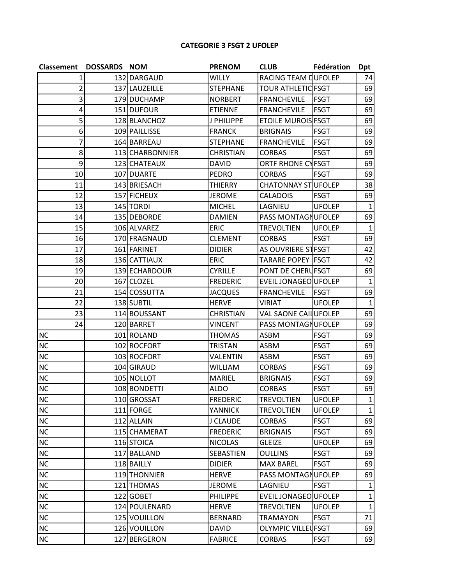# **CATEGORIE 3 FSGT 2 UFOLEP**

| Classement     | <b>DOSSARDS NOM</b> |                 | <b>PRENOM</b>    | <b>CLUB</b>                | Fédération    | <b>Dpt</b>   |
|----------------|---------------------|-----------------|------------------|----------------------------|---------------|--------------|
| 1              |                     | 132 DARGAUD     | <b>WILLY</b>     | RACING TEAM DUFOLEP        |               | 74           |
| $\overline{2}$ |                     | 137 LAUZEILLE   | <b>STEPHANE</b>  | <b>TOUR ATHLETIC FSGT</b>  |               | 69           |
| 3              |                     | 179 DUCHAMP     | <b>NORBERT</b>   | <b>FRANCHEVILE</b>         | <b>FSGT</b>   | 69           |
| 4              |                     | 151 DUFOUR      | <b>ETIENNE</b>   | <b>FRANCHEVILE</b>         | <b>FSGT</b>   | 69           |
| 5              |                     | 128 BLANCHOZ    | J PHILIPPE       | <b>ETOILE MUROIS FSGT</b>  |               | 69           |
| 6              |                     | 109 PAILLISSE   | <b>FRANCK</b>    | <b>BRIGNAIS</b>            | <b>FSGT</b>   | 69           |
| 7              |                     | 164 BARREAU     | <b>STEPHANE</b>  | <b>FRANCHEVILE</b>         | <b>FSGT</b>   | 69           |
| 8              |                     | 113 CHARBONNIER | <b>CHRISTIAN</b> | <b>CORBAS</b>              | <b>FSGT</b>   | 69           |
| 9              |                     | 123 CHATEAUX    | <b>DAVID</b>     | <b>ORTF RHONE CYFSGT</b>   |               | 69           |
| 10             |                     | 107 DUARTE      | <b>PEDRO</b>     | <b>CORBAS</b>              | <b>FSGT</b>   | 69           |
| 11             |                     | 143 BRIESACH    | <b>THIERRY</b>   | CHATONNAY STUFOLEP         |               | 38           |
| 12             |                     | 157 FICHEUX     | <b>JEROME</b>    | <b>CALADOIS</b>            | <b>FSGT</b>   | 69           |
| 13             |                     | 145 TORDI       | <b>MICHEL</b>    | LAGNIEU                    | <b>UFOLEP</b> | $\mathbf{1}$ |
| 14             |                     | 135 DEBORDE     | <b>DAMIEN</b>    | PASS MONTAGNUFOLEP         |               | 69           |
| 15             |                     | 106 ALVAREZ     | <b>ERIC</b>      | <b>TREVOLTIEN</b>          | <b>UFOLEP</b> | $\mathbf{1}$ |
| 16             |                     | 170 FRAGNAUD    | <b>CLEMENT</b>   | <b>CORBAS</b>              | <b>FSGT</b>   | 69           |
| 17             |                     | 161 FARINET     | <b>DIDIER</b>    | AS OUVRIERE STFSGT         |               | 42           |
| 18             |                     | 136 CATTIAUX    | <b>ERIC</b>      | <b>TARARE POPEY   FSGT</b> |               | 42           |
| 19             |                     | 139 ECHARDOUR   | <b>CYRILLE</b>   | PONT DE CHERUFSGT          |               | 69           |
| 20             |                     | 167 CLOZEL      | <b>FREDERIC</b>  | EVEIL JONAGEO UFOLEP       |               | 1            |
| 21             |                     | 154 COSSUTTA    | <b>JACQUES</b>   | <b>FRANCHEVILE</b>         | <b>FSGT</b>   | 69           |
| 22             |                     | 138 SUBTIL      | <b>HERVE</b>     | <b>VIRIAT</b>              | <b>UFOLEP</b> | $\mathbf{1}$ |
| 23             |                     | 114 BOUSSANT    | <b>CHRISTIAN</b> | VAL SAONE CAILUFOLEP       |               | 69           |
| 24             |                     | 120 BARRET      | VINCENT          | PASS MONTAGNUFOLEP         |               | 69           |
| <b>NC</b>      |                     | 101 ROLAND      | <b>THOMAS</b>    | <b>ASBM</b>                | <b>FSGT</b>   | 69           |
| <b>NC</b>      |                     | 102 ROCFORT     | <b>TRISTAN</b>   | <b>ASBM</b>                | <b>FSGT</b>   | 69           |
| <b>NC</b>      |                     | 103 ROCFORT     | <b>VALENTIN</b>  | ASBM                       | <b>FSGT</b>   | 69           |
| NC             |                     | 104 GIRAUD      | <b>WILLIAM</b>   | <b>CORBAS</b>              | <b>FSGT</b>   | 69           |
| <b>NC</b>      |                     | 105 NOLLOT      | <b>MARIEL</b>    | <b>BRIGNAIS</b>            | <b>FSGT</b>   | 69           |
| <b>NC</b>      |                     | 108 BONDETTI    | <b>ALDO</b>      | <b>CORBAS</b>              | <b>FSGT</b>   | 69           |
| <b>NC</b>      |                     | 110 GROSSAT     | <b>FREDERIC</b>  | <b>TREVOLTIEN</b>          | <b>UFOLEP</b> | $\mathbf{1}$ |
| NC             |                     | 111 FORGE       | <b>YANNICK</b>   | <b>TREVOLTIEN</b>          | <b>UFOLEP</b> | 1            |
| NC             |                     | 112 ALLAIN      | J CLAUDE         | <b>CORBAS</b>              | <b>FSGT</b>   | 69           |
| NC             |                     | 115 CHAMERAT    | <b>FREDERIC</b>  | <b>BRIGNAIS</b>            | <b>FSGT</b>   | 69           |
| $NC$           |                     | 116 STOICA      | <b>NICOLAS</b>   | <b>GLEIZE</b>              | <b>UFOLEP</b> | 69           |
| $NC$           |                     | 117 BALLAND     | SEBASTIEN        | <b>OULLINS</b>             | <b>FSGT</b>   | 69           |
| NC             |                     | 118 BAILLY      | <b>DIDIER</b>    | <b>MAX BAREL</b>           | <b>FSGT</b>   | 69           |
| $NC$           |                     | 119 THONNIER    | <b>HERVE</b>     | PASS MONTAGNUFOLEP         |               | 69           |
| $NC$           |                     | 121 THOMAS      | <b>JEROME</b>    | LAGNIEU                    | <b>FSGT</b>   | 1            |
| $NC$           |                     | 122 GOBET       | <b>PHILIPPE</b>  | EVEIL JONAGEO UFOLEP       |               | $\mathbf{1}$ |
| NC             |                     | 124 POULENARD   | <b>HERVE</b>     | <b>TREVOLTIEN</b>          | <b>UFOLEP</b> | $\mathbf{1}$ |
| NC             |                     | 125 VOUILLON    | <b>BERNARD</b>   | <b>TRAMAYON</b>            | <b>FSGT</b>   | 71           |
| <b>NC</b>      |                     | 126 VOUILLON    | <b>DAVID</b>     | <b>OLYMPIC VILLEUFSGT</b>  |               | 69           |
| <b>NC</b>      |                     | 127 BERGERON    | <b>FABRICE</b>   | <b>CORBAS</b>              | <b>FSGT</b>   | 69           |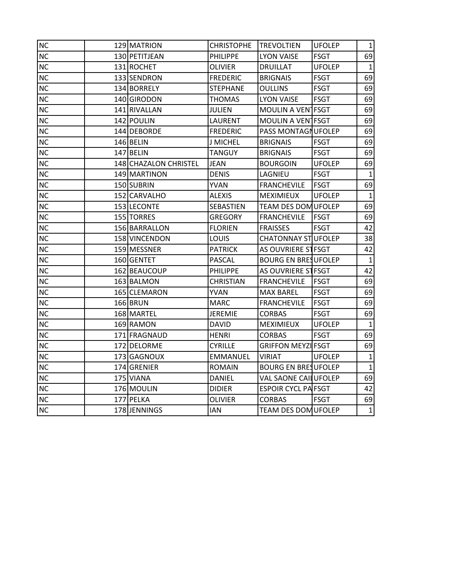| <b>NC</b> | 129 MATRION           | <b>CHRISTOPHE</b> | <b>TREVOLTIEN</b>           | <b>UFOLEP</b> | $\mathbf{1}$ |
|-----------|-----------------------|-------------------|-----------------------------|---------------|--------------|
| <b>NC</b> | 130 PETITJEAN         | <b>PHILIPPE</b>   | <b>LYON VAISE</b>           | <b>FSGT</b>   | 69           |
| <b>NC</b> | 131 ROCHET            | <b>OLIVIER</b>    | <b>DRUILLAT</b>             | <b>UFOLEP</b> | $\mathbf{1}$ |
| <b>NC</b> | 133 SENDRON           | <b>FREDERIC</b>   | <b>BRIGNAIS</b>             | <b>FSGT</b>   | 69           |
| <b>NC</b> | 134 BORRELY           | <b>STEPHANE</b>   | <b>OULLINS</b>              | <b>FSGT</b>   | 69           |
| <b>NC</b> | 140 GIRODON           | <b>THOMAS</b>     | <b>LYON VAISE</b>           | <b>FSGT</b>   | 69           |
| <b>NC</b> | 141 RIVALLAN          | <b>JULIEN</b>     | MOULIN A VENTESGT           |               | 69           |
| <b>NC</b> | 142 POULIN            | <b>LAURENT</b>    | MOULIN A VENTFSGT           |               | 69           |
| <b>NC</b> | 144 IDEBORDE          | <b>FREDERIC</b>   | PASS MONTAGNUFOLEP          |               | 69           |
| <b>NC</b> | 146 BELIN             | <b>J MICHEL</b>   | <b>BRIGNAIS</b>             | <b>FSGT</b>   | 69           |
| NC        | 147 BELIN             | <b>TANGUY</b>     | <b>BRIGNAIS</b>             | <b>FSGT</b>   | 69           |
| <b>NC</b> | 148 CHAZALON CHRISTEL | <b>JEAN</b>       | <b>BOURGOIN</b>             | <b>UFOLEP</b> | 69           |
| <b>NC</b> | 149 MARTINON          | <b>DENIS</b>      | LAGNIEU                     | <b>FSGT</b>   | $\mathbf{1}$ |
| <b>NC</b> | 150 SUBRIN            | <b>YVAN</b>       | <b>FRANCHEVILE</b>          | <b>FSGT</b>   | 69           |
| <b>NC</b> | 152 CARVALHO          | <b>ALEXIS</b>     | <b>MEXIMIEUX</b>            | <b>UFOLEP</b> | 1            |
| NC        | 153 LECONTE           | SEBASTIEN         | <b>TEAM DES DOM UFOLEP</b>  |               | 69           |
| <b>NC</b> | 155 TORRES            | <b>GREGORY</b>    | <b>FRANCHEVILE</b>          | <b>FSGT</b>   | 69           |
| NC        | 156 BARRALLON         | <b>FLORIEN</b>    | <b>FRAISSES</b>             | <b>FSGT</b>   | 42           |
| <b>NC</b> | 158 VINCENDON         | <b>LOUIS</b>      | CHATONNAY STUFOLEP          |               | 38           |
| <b>NC</b> | 159 MESSNER           | <b>PATRICK</b>    | AS OUVRIERE ST FSGT         |               | 42           |
| NC        | 160 GENTET            | <b>PASCAL</b>     | <b>BOURG EN BRESUFOLEP</b>  |               | $\mathbf{1}$ |
| <b>NC</b> | 162 BEAUCOUP          | PHILIPPE          | AS OUVRIERE STFSGT          |               | 42           |
| <b>NC</b> | 163 BALMON            | <b>CHRISTIAN</b>  | <b>FRANCHEVILE</b>          | <b>FSGT</b>   | 69           |
| <b>NC</b> | 165 CLEMARON          | <b>YVAN</b>       | <b>MAX BAREL</b>            | <b>FSGT</b>   | 69           |
| NC        | 166 BRUN              | <b>MARC</b>       | <b>FRANCHEVILE</b>          | <b>FSGT</b>   | 69           |
| NC        | 168 MARTEL            | <b>JEREMIE</b>    | <b>CORBAS</b>               | <b>FSGT</b>   | 69           |
| <b>NC</b> | 169 RAMON             | <b>DAVID</b>      | <b>MEXIMIEUX</b>            | <b>UFOLEP</b> | 1            |
| <b>NC</b> | 171 FRAGNAUD          | <b>HENRI</b>      | <b>CORBAS</b>               | <b>FSGT</b>   | 69           |
| <b>NC</b> | 172 DELORME           | <b>CYRILLE</b>    | GRIFFON MEYZIFSGT           |               | 69           |
| <b>NC</b> | 173 GAGNOUX           | <b>EMMANUEL</b>   | <b>VIRIAT</b>               | <b>UFOLEP</b> | 1            |
| <b>NC</b> | 174 GRENIER           | <b>ROMAIN</b>     | <b>BOURG EN BRESUFOLEP</b>  |               | $\mathbf{1}$ |
| <b>NC</b> | 175 VIANA             | <b>DANIEL</b>     | <b>VAL SAONE CAILUFOLEP</b> |               | 69           |
| <b>NC</b> | 176 MOULIN            | <b>DIDIER</b>     | <b>ESPOIR CYCL PA FSGT</b>  |               | 42           |
| <b>NC</b> | 177 PELKA             | <b>OLIVIER</b>    | <b>CORBAS</b>               | <b>FSGT</b>   | 69           |
| <b>NC</b> | 178 JENNINGS          | <b>IAN</b>        | <b>TEAM DES DOM UFOLEP</b>  |               | $\mathbf{1}$ |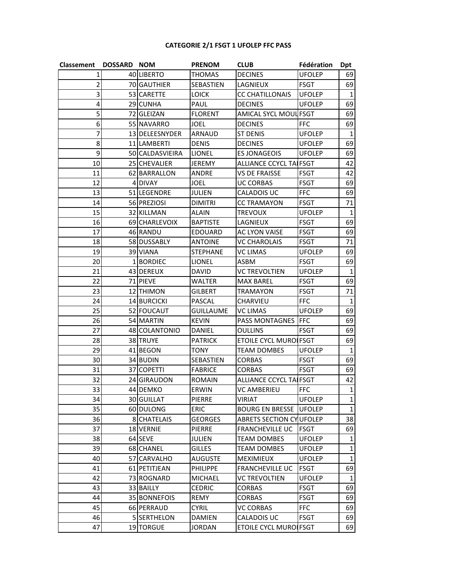# **CATEGORIE 2/1 FSGT 1 UFOLEP FFC PASS**

| Classement | <b>DOSSARD NOM</b> |                 | PRENOM          | <b>CLUB</b>                     | Fédération    | Dpt          |
|------------|--------------------|-----------------|-----------------|---------------------------------|---------------|--------------|
| 1          |                    | 40 LIBERTO      | THOMAS          | <b>DECINES</b>                  | <b>UFOLEP</b> | 69           |
| 2          |                    | 70 GAUTHIER     | SEBASTIEN       | LAGNIEUX                        | <b>FSGT</b>   | 69           |
| 3          |                    | 53 CARETTE      | <b>LOICK</b>    | <b>CC CHATILLONAIS</b>          | <b>UFOLEP</b> | 1            |
| 4          |                    | 29 CUNHA        | PAUL            | <b>DECINES</b>                  | <b>UFOLEP</b> | 69           |
| 5          |                    | 72 GLEIZAN      | <b>FLORENT</b>  | AMICAL SYCL MOUL FSGT           |               | 69           |
| 6          |                    | 55 NAVARRO      | JOEL            | <b>DECINES</b>                  | <b>FFC</b>    | 69           |
| 7          |                    | 13 DELEESNYDER  | ARNAUD          | <b>ST DENIS</b>                 | <b>UFOLEP</b> | 1            |
| 8          |                    | 11 LAMBERTI     | <b>DENIS</b>    | <b>DECINES</b>                  | <b>UFOLEP</b> | 69           |
| 9          |                    | 50 CALDASVIEIRA | <b>LIONEL</b>   | <b>ES JONAGEOIS</b>             | <b>UFOLEP</b> | 69           |
| 10         |                    | 25 CHEVALIER    | <b>JEREMY</b>   | <b>ALLIANCE CCYCL TAIFSGT</b>   |               | 42           |
| 11         |                    | 62 BARRALLON    | ANDRE           | <b>VS DE FRAISSE</b>            | <b>FSGT</b>   | 42           |
| 12         |                    | 4 DIVAY         | JOEL            | <b>UC CORBAS</b>                | <b>FSGT</b>   | 69           |
| 13         |                    | 51 LEGENDRE     | JULIEN          | CALADOIS UC                     | <b>FFC</b>    | 69           |
| 14         |                    | 56 PREZIOSI     | <b>DIMITRI</b>  | <b>CC TRAMAYON</b>              | <b>FSGT</b>   | 71           |
| 15         |                    | 32 KILLMAN      | <b>ALAIN</b>    | <b>TREVOUX</b>                  | <b>UFOLEP</b> | 1            |
| 16         |                    | 69 CHARLEVOIX   | <b>BAPTISTE</b> | LAGNIEUX                        | <b>FSGT</b>   | 69           |
| 17         |                    | 46 RANDU        | EDOUARD         | AC LYON VAISE                   | <b>FSGT</b>   | 69           |
| 18         |                    | 58 DUSSABLY     | <b>ANTOINE</b>  | <b>VC CHAROLAIS</b>             | <b>FSGT</b>   | 71           |
| 19         |                    | 39 VIANA        | STEPHANE        | VC LIMAS                        | <b>UFOLEP</b> | 69           |
| 20         |                    | 1 BORDIEC       | <b>LIONEL</b>   | ASBM                            | <b>FSGT</b>   | 69           |
| 21         |                    | 43 DEREUX       | <b>DAVID</b>    | <b>VC TREVOLTIEN</b>            | <b>UFOLEP</b> | $\mathbf{1}$ |
| 22         |                    | 71 PIEVE        | WALTER          | <b>MAX BAREL</b>                | <b>FSGT</b>   | 69           |
| 23         |                    | 12 THIMON       | GILBERT         | <b>TRAMAYON</b>                 | <b>FSGT</b>   | 71           |
| 24         |                    | 14 BURCICKI     | PASCAL          | CHARVIEU                        | <b>FFC</b>    | 1            |
| 25         |                    | 52 FOUCAUT      | GUILLAUME       | VC LIMAS                        | <b>UFOLEP</b> | 69           |
| 26         |                    | 54 MARTIN       | <b>KEVIN</b>    | PASS MONTAGNES                  | <b>FFC</b>    | 69           |
| 27         |                    | 48 COLANTONIO   | DANIEL          | <b>OULLINS</b>                  | <b>FSGT</b>   | 69           |
| 28         |                    | 38 TRUYE        | <b>PATRICK</b>  | <b>ETOILE CYCL MUROIFSGT</b>    |               | 69           |
| 29         |                    | 41 BEGON        | TONY            | <b>TEAM DOMBES</b>              | <b>UFOLEP</b> | 1            |
| 30         |                    | 34 BUDIN        | SEBASTIEN       | <b>CORBAS</b>                   | <b>FSGT</b>   | 69           |
| 31         |                    | 37 COPETTI      | <b>FABRICE</b>  | <b>CORBAS</b>                   | <b>FSGT</b>   | 69           |
| 32         |                    | 24 GIRAUDON     | <b>ROMAIN</b>   | <b>ALLIANCE CCYCL TAIFSGT</b>   |               | 42           |
| 33         |                    | 44 DEMKO        | ERWIN           | <b>VC AMBERIEU</b>              | <b>FFC</b>    | $\mathbf{1}$ |
| 34         |                    | 30 GUILLAT      | PIERRE          | VIRIAT                          | <b>UFOLEP</b> | $\mathbf{1}$ |
| 35         |                    | 60 DULONG       | <b>ERIC</b>     | <b>BOURG EN BRESSE</b>          | <b>UFOLEP</b> | $\mathbf{1}$ |
| 36         |                    | 8 CHATELAIS     | <b>GEORGES</b>  | <b>ABRETS SECTION CY UFOLEP</b> |               | 38           |
| 37         |                    | 18 VERNIE       | PIERRE          | <b>FRANCHEVILLE UC</b>          | FSGT          | 69           |
| 38         |                    | 64 SEVE         | julien          | <b>TEAM DOMBES</b>              | <b>UFOLEP</b> | $\mathbf{1}$ |
| 39         |                    | 68 CHANEL       | <b>GILLES</b>   | <b>TEAM DOMBES</b>              | <b>UFOLEP</b> | $\mathbf{1}$ |
| 40         |                    | 57 CARVALHO     | AUGUSTE         | <b>MEXIMIEUX</b>                | <b>UFOLEP</b> | $\mathbf 1$  |
| 41         |                    | 61 PETITJEAN    | PHILIPPE        | <b>FRANCHEVILLE UC</b>          | <b>FSGT</b>   | 69           |
| 42         |                    | 73 ROGNARD      | MICHAEL         | <b>VC TREVOLTIEN</b>            | <b>UFOLEP</b> | 1            |
| 43         |                    | 33 BAILLY       | <b>CEDRIC</b>   | <b>CORBAS</b>                   | <b>FSGT</b>   | 69           |
| 44         |                    | 35 BONNEFOIS    | REMY            | <b>CORBAS</b>                   | <b>FSGT</b>   | 69           |
| 45         |                    | 66 PERRAUD      | CYRIL           | <b>VC CORBAS</b>                | <b>FFC</b>    | 69           |
| 46         |                    | 5 SERTHELON     | DAMIEN          | CALADOIS UC                     | FSGT          | 69           |
| 47         |                    | 19 TORGUE       | JORDAN          | <b>ETOILE CYCL MUROIFSGT</b>    |               | 69           |